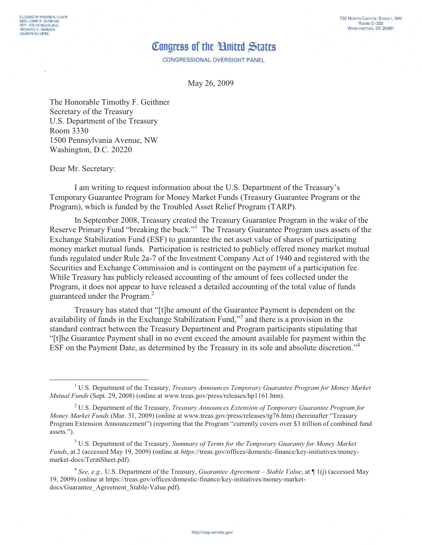CONGRESSIONAL OVERSIGHT PANEL

May 26, 2009

The Honorable Timothy F. Geithner Secretary of the Treasury U.S. Department of the Treasury Room 3330 1500 Pennsylvania Avenue, NW Washington, D.C. 20220

Dear Mr. Secretary:

ELIZABETH WARREN, CHAIR

SEN, JOHN E. SUNUNU<br>REP. JEB HENSARLING

**RICHARD H. NEIMAN**<br>DAMON SILVERS

 $\overline{a}$ 

I am writing to request information about the U.S. Department of the Treasury's Temporary Guarantee Program for Money Market Funds (Treasury Guarantee Program or the Program), which is funded by the Troubled Asset Relief Program (TARP).

In September 2008, Treasury created the Treasury Guarantee Program in the wake of the Reserve Primary Fund "breaking the buck."<sup>1</sup> The Treasury Guarantee Program uses assets of the Exchange Stabilization Fund (ESF) to guarantee the net asset value of shares of participating money market mutual funds. Participation is restricted to publicly offered money market mutual funds regulated under Rule 2a-7 of the Investment Company Act of 1940 and registered with the Securities and Exchange Commission and is contingent on the payment of a participation fee. While Treasury has publicly released accounting of the amount of fees collected under the Program, it does not appear to have released a detailed accounting of the total value of funds guaranteed under the Program.<sup>2</sup>

Treasury has stated that "[t]he amount of the Guarantee Payment is dependent on the availability of funds in the Exchange Stabilization Fund,"<sup>3</sup> and there is a provision in the standard contract between the Treasury Department and Program participants stipulating that "[t]he Guarantee Payment shall in no event exceed the amount available for payment within the ESF on the Payment Date, as determined by the Treasury in its sole and absolute discretion."<sup>4</sup>

<sup>&</sup>lt;sup>1</sup> U.S. Department of the Treasury, *Treasury Announces Temporary Guarantee Program for Money Market Mutual Funds* (Sept. 29, 2008) (online at www.treas.gov/press/releases/hp1161.htm).

<sup>2</sup> U.S. Department of the Treasury, *Treasury Announces Extension of Temporary Guarantee Program for Money Market Funds* (Mar. 31, 2009) (online at www.treas.gov/press/releases/tg76.htm) (hereinafter "Treasury Program Extension Announcement") (reporting that the Program "currently covers over \$3 trillion of combined fund assets.").

<sup>3</sup> U.S. Department of the Treasury, *Summary of Terms for the Temporary Guaranty for Money Market Funds*, at 2 (accessed May 19, 2009) (online at *https*://treas.gov/offices/domestic-finance/key-initiatives/moneymarket-docs/TermSheet.pdf).

<sup>4</sup> *See, e.g.,* U.S. Department of the Treasury, *Guarantee Agreement – Stable Value*, at ¶ 1(j) (accessed May 19, 2009) (online at https://treas.gov/offices/domestic-finance/key-initiatives/money-marketdocs/Guarantee\_Agreement\_Stable-Value.pdf).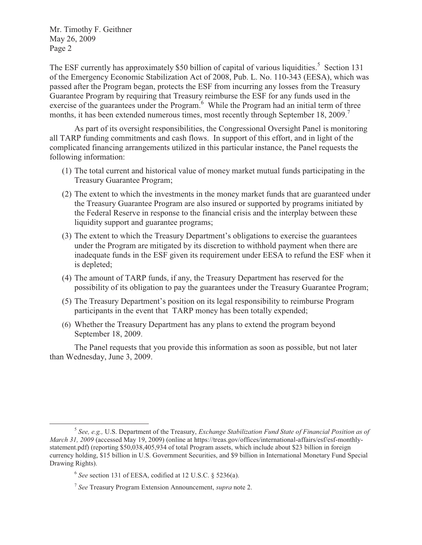Mr. Timothy F. Geithner May 26, 2009 Page 2

The ESF currently has approximately \$50 billion of capital of various liquidities.<sup>5</sup> Section 131 of the Emergency Economic Stabilization Act of 2008, Pub. L. No. 110-343 (EESA), which was passed after the Program began, protects the ESF from incurring any losses from the Treasury Guarantee Program by requiring that Treasury reimburse the ESF for any funds used in the exercise of the guarantees under the Program.<sup>6</sup> While the Program had an initial term of three months, it has been extended numerous times, most recently through September 18, 2009.<sup>7</sup>

As part of its oversight responsibilities, the Congressional Oversight Panel is monitoring all TARP funding commitments and cash flows. In support of this effort, and in light of the complicated financing arrangements utilized in this particular instance, the Panel requests the following information:

- (1) The total current and historical value of money market mutual funds participating in the Treasury Guarantee Program;
- (2) The extent to which the investments in the money market funds that are guaranteed under the Treasury Guarantee Program are also insured or supported by programs initiated by the Federal Reserve in response to the financial crisis and the interplay between these liquidity support and guarantee programs;
- (3) The extent to which the Treasury Department's obligations to exercise the guarantees under the Program are mitigated by its discretion to withhold payment when there are inadequate funds in the ESF given its requirement under EESA to refund the ESF when it is depleted;
- (4) The amount of TARP funds, if any, the Treasury Department has reserved for the possibility of its obligation to pay the guarantees under the Treasury Guarantee Program;
- (5) The Treasury Department's position on its legal responsibility to reimburse Program participants in the event that TARP money has been totally expended;
- (6) Whether the Treasury Department has any plans to extend the program beyond September 18, 2009.

The Panel requests that you provide this information as soon as possible, but not later than Wednesday, June 3, 2009.

 $\overline{a}$ 

<sup>5</sup> *See, e.g.,* U.S. Department of the Treasury, *Exchange Stabilization Fund State of Financial Position as of March 31, 2009* (accessed May 19, 2009) (online at https://treas.gov/offices/international-affairs/esf/esf-monthlystatement.pdf) (reporting \$50,038,405,934 of total Program assets, which include about \$23 billion in foreign currency holding, \$15 billion in U.S. Government Securities, and \$9 billion in International Monetary Fund Special Drawing Rights).

<sup>6</sup> *See* section 131 of EESA, codified at 12 U.S.C. § 5236(a).

<sup>7</sup> *See* Treasury Program Extension Announcement, *supra* note 2.